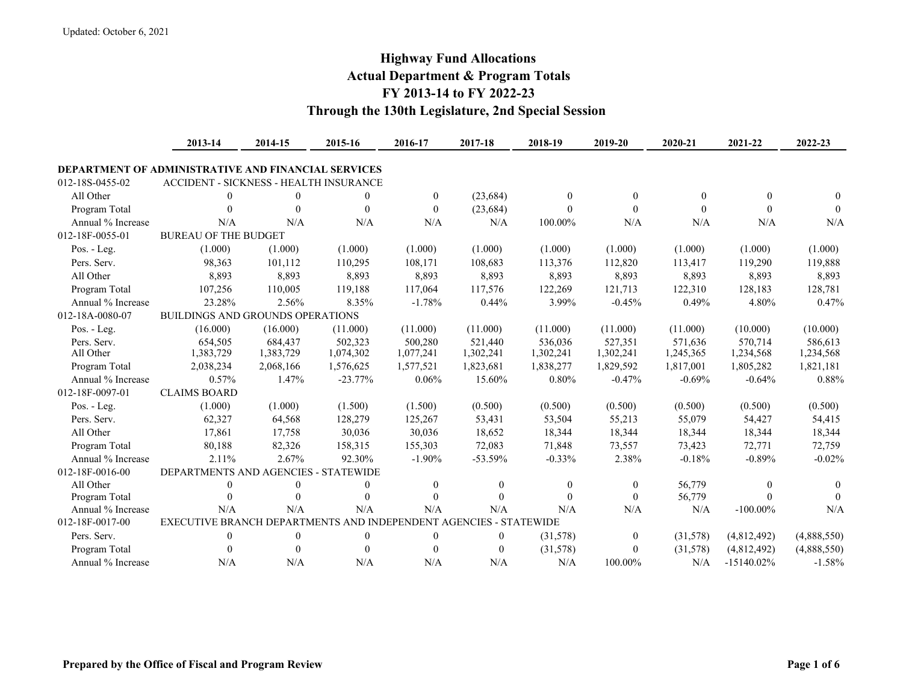## **Highway Fund Allocations Actual Department & Program Totals FY 2013-14 to FY 2022-23 Through the 130th Legislature, 2nd Special Session**

|                                                            | 2013-14                                                           | 2014-15   | 2015-16      | 2016-17          | 2017-18          | 2018-19   | 2019-20   | 2020-21   | 2021-22       | 2022-23     |
|------------------------------------------------------------|-------------------------------------------------------------------|-----------|--------------|------------------|------------------|-----------|-----------|-----------|---------------|-------------|
| <b>DEPARTMENT OF ADMINISTRATIVE AND FINANCIAL SERVICES</b> |                                                                   |           |              |                  |                  |           |           |           |               |             |
| 012-18S-0455-02                                            | ACCIDENT - SICKNESS - HEALTH INSURANCE                            |           |              |                  |                  |           |           |           |               |             |
| All Other                                                  | $\theta$                                                          | 0         | $\theta$     | $\theta$         | (23, 684)        | $\theta$  | $\theta$  | $\theta$  | $\theta$      | $\Omega$    |
| Program Total                                              | $\Omega$                                                          | 0         | $\theta$     | $\theta$         | (23, 684)        | $\Omega$  | $\Omega$  | $\Omega$  | $\Omega$      | $\theta$    |
| Annual % Increase                                          | N/A                                                               | N/A       | N/A          | N/A              | N/A              | 100.00%   | N/A       | N/A       | N/A           | N/A         |
| 012-18F-0055-01                                            | <b>BUREAU OF THE BUDGET</b>                                       |           |              |                  |                  |           |           |           |               |             |
| Pos. - Leg.                                                | (1.000)                                                           | (1.000)   | (1.000)      | (1.000)          | (1.000)          | (1.000)   | (1.000)   | (1.000)   | (1.000)       | (1.000)     |
| Pers. Serv.                                                | 98,363                                                            | 101,112   | 110,295      | 108,171          | 108,683          | 113,376   | 112,820   | 113,417   | 119,290       | 119,888     |
| All Other                                                  | 8,893                                                             | 8,893     | 8,893        | 8,893            | 8,893            | 8,893     | 8,893     | 8,893     | 8,893         | 8,893       |
| Program Total                                              | 107,256                                                           | 110,005   | 119,188      | 117,064          | 117,576          | 122,269   | 121,713   | 122,310   | 128,183       | 128,781     |
| Annual % Increase                                          | 23.28%                                                            | 2.56%     | 8.35%        | $-1.78%$         | 0.44%            | 3.99%     | $-0.45%$  | 0.49%     | 4.80%         | 0.47%       |
| 012-18A-0080-07                                            | <b>BUILDINGS AND GROUNDS OPERATIONS</b>                           |           |              |                  |                  |           |           |           |               |             |
| Pos. - Leg.                                                | (16.000)                                                          | (16.000)  | (11.000)     | (11.000)         | (11.000)         | (11.000)  | (11.000)  | (11.000)  | (10.000)      | (10.000)    |
| Pers. Serv.                                                | 654,505                                                           | 684,437   | 502,323      | 500,280          | 521,440          | 536,036   | 527,351   | 571.636   | 570,714       | 586,613     |
| All Other                                                  | 1,383,729                                                         | 1,383,729 | 1,074,302    | 1,077,241        | 1,302,241        | 1,302,241 | 1,302,241 | 1,245,365 | 1,234,568     | 1,234,568   |
| Program Total                                              | 2,038,234                                                         | 2,068,166 | 1,576,625    | 1,577,521        | 1,823,681        | 1,838,277 | 1,829,592 | 1,817,001 | 1,805,282     | 1,821,181   |
| Annual % Increase                                          | 0.57%                                                             | 1.47%     | $-23.77%$    | 0.06%            | 15.60%           | 0.80%     | $-0.47%$  | $-0.69%$  | $-0.64%$      | 0.88%       |
| 012-18F-0097-01                                            | <b>CLAIMS BOARD</b>                                               |           |              |                  |                  |           |           |           |               |             |
| Pos. - Leg.                                                | (1.000)                                                           | (1.000)   | (1.500)      | (1.500)          | (0.500)          | (0.500)   | (0.500)   | (0.500)   | (0.500)       | (0.500)     |
| Pers. Serv.                                                | 62,327                                                            | 64,568    | 128,279      | 125,267          | 53,431           | 53,504    | 55,213    | 55,079    | 54,427        | 54,415      |
| All Other                                                  | 17,861                                                            | 17,758    | 30,036       | 30,036           | 18,652           | 18,344    | 18,344    | 18,344    | 18,344        | 18,344      |
| Program Total                                              | 80,188                                                            | 82,326    | 158,315      | 155,303          | 72,083           | 71,848    | 73,557    | 73,423    | 72,771        | 72,759      |
| Annual % Increase                                          | 2.11%                                                             | 2.67%     | 92.30%       | $-1.90%$         | $-53.59%$        | $-0.33%$  | 2.38%     | $-0.18%$  | $-0.89%$      | $-0.02%$    |
| 012-18F-0016-00                                            | DEPARTMENTS AND AGENCIES - STATEWIDE                              |           |              |                  |                  |           |           |           |               |             |
| All Other                                                  | $\theta$                                                          | 0         | $\Omega$     | $\theta$         | $\theta$         | $\Omega$  | $\Omega$  | 56,779    | $\theta$      | 0           |
| Program Total                                              | 0                                                                 | 0         | $\theta$     | $\Omega$         | $\Omega$         | $\Omega$  | $\Omega$  | 56,779    | $\Omega$      | $\theta$    |
| Annual % Increase                                          | N/A                                                               | N/A       | N/A          | N/A              | N/A              | N/A       | N/A       | N/A       | $-100.00\%$   | N/A         |
| 012-18F-0017-00                                            | EXECUTIVE BRANCH DEPARTMENTS AND INDEPENDENT AGENCIES - STATEWIDE |           |              |                  |                  |           |           |           |               |             |
| Pers. Serv.                                                | $\mathbf{0}$                                                      | 0         | $\mathbf{0}$ | $\boldsymbol{0}$ | $\boldsymbol{0}$ | (31,578)  | $\theta$  | (31,578)  | (4,812,492)   | (4,888,550) |
| Program Total                                              | $\Omega$                                                          | 0         | $\theta$     | $\theta$         | $\mathbf{0}$     | (31,578)  | $\Omega$  | (31,578)  | (4,812,492)   | (4,888,550) |
| Annual % Increase                                          | N/A                                                               | N/A       | N/A          | N/A              | N/A              | N/A       | 100.00%   | N/A       | $-15140.02\%$ | $-1.58%$    |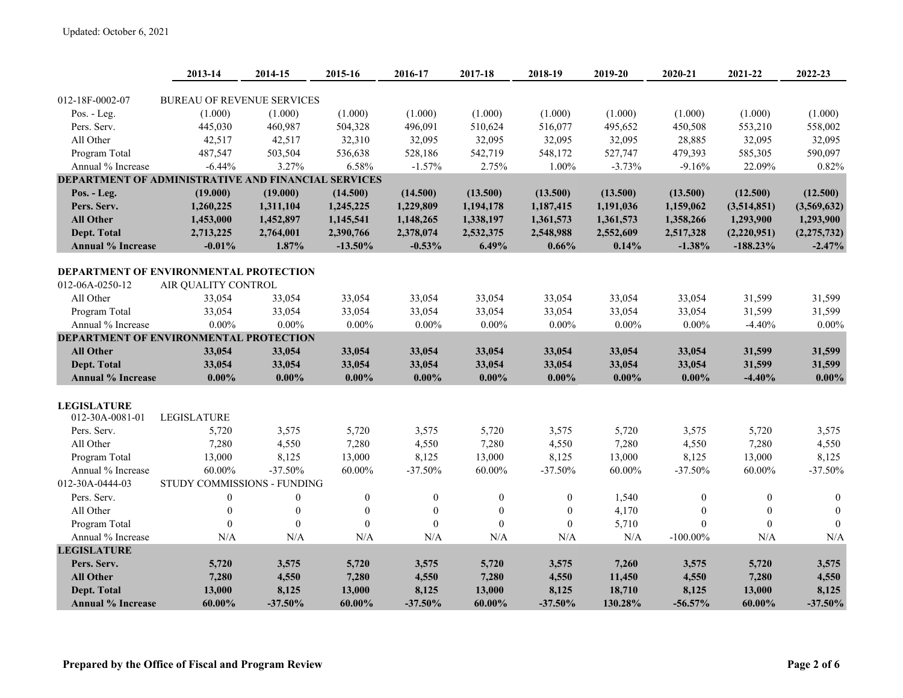|                                                                          | 2013-14                           | 2014-15          | 2015-16          | 2016-17          | 2017-18          | 2018-19          | 2019-20   | 2020-21          | 2021-22          | 2022-23       |
|--------------------------------------------------------------------------|-----------------------------------|------------------|------------------|------------------|------------------|------------------|-----------|------------------|------------------|---------------|
|                                                                          |                                   |                  |                  |                  |                  |                  |           |                  |                  |               |
| 012-18F-0002-07                                                          | <b>BUREAU OF REVENUE SERVICES</b> |                  |                  |                  |                  |                  |           |                  |                  |               |
| Pos. - Leg.                                                              | (1.000)                           | (1.000)          | (1.000)          | (1.000)          | (1.000)          | (1.000)          | (1.000)   | (1.000)          | (1.000)          | (1.000)       |
| Pers. Serv.<br>All Other                                                 | 445,030                           | 460,987          | 504,328          | 496,091          | 510,624          | 516,077          | 495,652   | 450,508          | 553,210          | 558,002       |
|                                                                          | 42,517                            | 42,517           | 32,310           | 32,095           | 32,095           | 32,095           | 32,095    | 28,885           | 32,095           | 32,095        |
| Program Total                                                            | 487,547                           | 503,504<br>3.27% | 536,638          | 528,186          | 542,719          | 548,172          | 527,747   | 479,393          | 585,305          | 590,097       |
| Annual % Increase<br>DEPARTMENT OF ADMINISTRATIVE AND FINANCIAL SERVICES | $-6.44%$                          |                  | 6.58%            | $-1.57%$         | 2.75%            | 1.00%            | $-3.73%$  | $-9.16%$         | 22.09%           | 0.82%         |
|                                                                          |                                   |                  |                  |                  |                  |                  |           |                  |                  |               |
| Pos. - Leg.<br>Pers. Serv.                                               | (19.000)                          | (19.000)         | (14.500)         | (14.500)         | (13.500)         | (13.500)         | (13.500)  | (13.500)         | (12.500)         | (12.500)      |
|                                                                          | 1,260,225                         | 1,311,104        | 1,245,225        | 1,229,809        | 1,194,178        | 1,187,415        | 1,191,036 | 1,159,062        | (3,514,851)      | (3,569,632)   |
| <b>All Other</b>                                                         | 1,453,000                         | 1,452,897        | 1,145,541        | 1,148,265        | 1,338,197        | 1,361,573        | 1,361,573 | 1,358,266        | 1,293,900        | 1,293,900     |
| Dept. Total                                                              | 2,713,225                         | 2,764,001        | 2,390,766        | 2,378,074        | 2,532,375        | 2,548,988        | 2,552,609 | 2,517,328        | (2,220,951)      | (2, 275, 732) |
| <b>Annual % Increase</b>                                                 | $-0.01%$                          | 1.87%            | $-13.50%$        | $-0.53%$         | 6.49%            | 0.66%            | 0.14%     | $-1.38%$         | $-188.23%$       | $-2.47%$      |
| DEPARTMENT OF ENVIRONMENTAL PROTECTION                                   |                                   |                  |                  |                  |                  |                  |           |                  |                  |               |
| 012-06A-0250-12                                                          | AIR QUALITY CONTROL               |                  |                  |                  |                  |                  |           |                  |                  |               |
| All Other                                                                | 33,054                            | 33,054           | 33,054           | 33,054           | 33,054           | 33,054           | 33,054    | 33,054           | 31,599           | 31,599        |
| Program Total                                                            | 33,054                            | 33,054           | 33,054           | 33,054           | 33,054           | 33,054           | 33,054    | 33,054           | 31,599           | 31,599        |
| Annual % Increase                                                        | $0.00\%$                          | $0.00\%$         | $0.00\%$         | $0.00\%$         | $0.00\%$         | $0.00\%$         | $0.00\%$  | $0.00\%$         | $-4.40%$         | $0.00\%$      |
| DEPARTMENT OF ENVIRONMENTAL PROTECTION                                   |                                   |                  |                  |                  |                  |                  |           |                  |                  |               |
| <b>All Other</b>                                                         | 33,054                            | 33,054           | 33,054           | 33,054           | 33,054           | 33,054           | 33,054    | 33,054           | 31,599           | 31,599        |
| Dept. Total                                                              | 33,054                            | 33,054           | 33,054           | 33,054           | 33,054           | 33,054           | 33,054    | 33,054           | 31,599           | 31,599        |
| <b>Annual % Increase</b>                                                 | $0.00\%$                          | $0.00\%$         | $0.00\%$         | $0.00\%$         | $0.00\%$         | $0.00\%$         | $0.00\%$  | $0.00\%$         | $-4.40%$         | $0.00\%$      |
|                                                                          |                                   |                  |                  |                  |                  |                  |           |                  |                  |               |
| <b>LEGISLATURE</b>                                                       |                                   |                  |                  |                  |                  |                  |           |                  |                  |               |
| 012-30A-0081-01                                                          | <b>LEGISLATURE</b>                |                  |                  |                  |                  |                  |           |                  |                  |               |
| Pers. Serv.                                                              | 5,720                             | 3,575            | 5,720            | 3,575            | 5,720            | 3,575            | 5,720     | 3,575            | 5,720            | 3,575         |
| All Other                                                                | 7,280                             | 4,550            | 7,280            | 4,550            | 7,280            | 4,550            | 7,280     | 4,550            | 7,280            | 4,550         |
| Program Total                                                            | 13,000                            | 8,125            | 13,000           | 8,125            | 13,000           | 8,125            | 13,000    | 8,125            | 13,000           | 8,125         |
| Annual % Increase                                                        | 60.00%                            | $-37.50%$        | 60.00%           | $-37.50%$        | $60.00\%$        | $-37.50%$        | 60.00%    | $-37.50%$        | $60.00\%$        | $-37.50%$     |
| 012-30A-0444-03                                                          | STUDY COMMISSIONS - FUNDING       |                  |                  |                  |                  |                  |           |                  |                  |               |
| Pers. Serv.                                                              | $\boldsymbol{0}$                  | $\overline{0}$   | $\boldsymbol{0}$ | $\boldsymbol{0}$ | $\boldsymbol{0}$ | $\boldsymbol{0}$ | 1,540     | $\overline{0}$   | $\mathbf{0}$     | $\mathbf{0}$  |
| All Other                                                                | $\boldsymbol{0}$                  | $\boldsymbol{0}$ | $\boldsymbol{0}$ | $\boldsymbol{0}$ | $\boldsymbol{0}$ | $\boldsymbol{0}$ | 4,170     | $\boldsymbol{0}$ | $\boldsymbol{0}$ | $\mathbf{0}$  |
| Program Total                                                            | $\boldsymbol{0}$                  | $\boldsymbol{0}$ | $\overline{0}$   | $\boldsymbol{0}$ | $\boldsymbol{0}$ | $\boldsymbol{0}$ | 5,710     | $\boldsymbol{0}$ | $\boldsymbol{0}$ | $\mathbf{0}$  |
| Annual % Increase                                                        | N/A                               | N/A              | N/A              | N/A              | N/A              | N/A              | N/A       | $-100.00\%$      | N/A              | N/A           |
| <b>LEGISLATURE</b>                                                       |                                   |                  |                  |                  |                  |                  |           |                  |                  |               |
| Pers. Serv.                                                              | 5,720                             | 3,575            | 5,720            | 3,575            | 5,720            | 3,575            | 7,260     | 3,575            | 5,720            | 3,575         |
| <b>All Other</b>                                                         | 7,280                             | 4,550            | 7,280            | 4,550            | 7,280            | 4,550            | 11,450    | 4,550            | 7,280            | 4,550         |
| <b>Dept. Total</b>                                                       | 13,000                            | 8,125            | 13,000           | 8,125            | 13,000           | 8,125            | 18,710    | 8,125            | 13,000           | 8,125         |
| <b>Annual % Increase</b>                                                 | $60.00\%$                         | $-37.50%$        | 60.00%           | $-37.50%$        | $60.00\%$        | $-37.50%$        | 130.28%   | $-56.57%$        | $60.00\%$        | $-37.50%$     |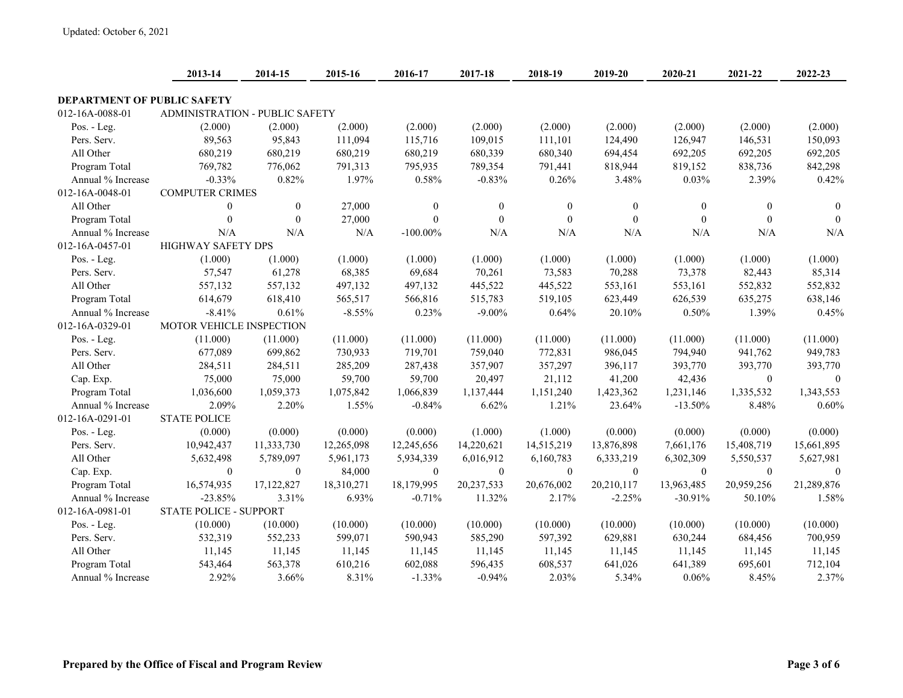|                                    | 2013-14                        | 2014-15        | 2015-16    | 2016-17          | 2017-18          | 2018-19      | 2019-20        | 2020-21      | 2021-22      | 2022-23      |
|------------------------------------|--------------------------------|----------------|------------|------------------|------------------|--------------|----------------|--------------|--------------|--------------|
| <b>DEPARTMENT OF PUBLIC SAFETY</b> |                                |                |            |                  |                  |              |                |              |              |              |
| 012-16A-0088-01                    | ADMINISTRATION - PUBLIC SAFETY |                |            |                  |                  |              |                |              |              |              |
| Pos. - Leg.                        | (2.000)                        | (2.000)        | (2.000)    | (2.000)          | (2.000)          | (2.000)      | (2.000)        | (2.000)      | (2.000)      | (2.000)      |
| Pers. Serv.                        | 89,563                         | 95,843         | 111,094    | 115,716          | 109,015          | 111,101      | 124,490        | 126,947      | 146,531      | 150,093      |
| All Other                          | 680,219                        | 680,219        | 680,219    | 680,219          | 680,339          | 680,340      | 694,454        | 692,205      | 692,205      | 692,205      |
| Program Total                      | 769,782                        | 776,062        | 791,313    | 795,935          | 789,354          | 791,441      | 818,944        | 819,152      | 838,736      | 842,298      |
| Annual % Increase                  | $-0.33%$                       | 0.82%          | 1.97%      | 0.58%            | $-0.83%$         | 0.26%        | 3.48%          | 0.03%        | 2.39%        | 0.42%        |
| 012-16A-0048-01                    | <b>COMPUTER CRIMES</b>         |                |            |                  |                  |              |                |              |              |              |
| All Other                          | $\boldsymbol{0}$               | $\mathbf{0}$   | 27,000     | $\boldsymbol{0}$ | $\boldsymbol{0}$ | $\mathbf{0}$ | $\overline{0}$ | $\mathbf{0}$ | $\mathbf{0}$ | $\mathbf{0}$ |
| Program Total                      | $\mathbf{0}$                   | $\mathbf{0}$   | 27,000     | $\overline{0}$   | $\mathbf{0}$     | $\mathbf{0}$ | $\theta$       | $\mathbf{0}$ | $\mathbf{0}$ | $\theta$     |
| Annual % Increase                  | N/A                            | N/A            | N/A        | $-100.00\%$      | N/A              | N/A          | N/A            | N/A          | N/A          | N/A          |
| 012-16A-0457-01                    | <b>HIGHWAY SAFETY DPS</b>      |                |            |                  |                  |              |                |              |              |              |
| Pos. - Leg.                        | (1.000)                        | (1.000)        | (1.000)    | (1.000)          | (1.000)          | (1.000)      | (1.000)        | (1.000)      | (1.000)      | (1.000)      |
| Pers. Serv.                        | 57,547                         | 61,278         | 68,385     | 69,684           | 70,261           | 73,583       | 70,288         | 73,378       | 82,443       | 85,314       |
| All Other                          | 557,132                        | 557,132        | 497,132    | 497,132          | 445,522          | 445,522      | 553,161        | 553,161      | 552,832      | 552,832      |
| Program Total                      | 614,679                        | 618,410        | 565,517    | 566,816          | 515,783          | 519,105      | 623,449        | 626,539      | 635,275      | 638,146      |
| Annual % Increase                  | $-8.41%$                       | 0.61%          | $-8.55%$   | 0.23%            | $-9.00\%$        | 0.64%        | 20.10%         | 0.50%        | 1.39%        | 0.45%        |
| 012-16A-0329-01                    | MOTOR VEHICLE INSPECTION       |                |            |                  |                  |              |                |              |              |              |
| Pos. - Leg.                        | (11.000)                       | (11.000)       | (11.000)   | (11.000)         | (11.000)         | (11.000)     | (11.000)       | (11.000)     | (11.000)     | (11.000)     |
| Pers. Serv.                        | 677,089                        | 699,862        | 730,933    | 719,701          | 759,040          | 772,831      | 986,045        | 794,940      | 941,762      | 949,783      |
| All Other                          | 284,511                        | 284,511        | 285,209    | 287,438          | 357,907          | 357,297      | 396,117        | 393,770      | 393,770      | 393,770      |
| Cap. Exp.                          | 75,000                         | 75,000         | 59,700     | 59,700           | 20,497           | 21,112       | 41,200         | 42,436       | $\mathbf{0}$ | $\Omega$     |
| Program Total                      | 1,036,600                      | 1,059,373      | 1,075,842  | 1,066,839        | 1,137,444        | 1,151,240    | 1,423,362      | 1,231,146    | 1,335,532    | 1,343,553    |
| Annual % Increase                  | 2.09%                          | 2.20%          | 1.55%      | $-0.84%$         | 6.62%            | 1.21%        | 23.64%         | $-13.50%$    | 8.48%        | 0.60%        |
| 012-16A-0291-01                    | <b>STATE POLICE</b>            |                |            |                  |                  |              |                |              |              |              |
| Pos. - Leg.                        | (0.000)                        | (0.000)        | (0.000)    | (0.000)          | (1.000)          | (1.000)      | (0.000)        | (0.000)      | (0.000)      | (0.000)      |
| Pers. Serv.                        | 10,942,437                     | 11,333,730     | 12,265,098 | 12,245,656       | 14,220,621       | 14,515,219   | 13,876,898     | 7,661,176    | 15,408,719   | 15,661,895   |
| All Other                          | 5,632,498                      | 5,789,097      | 5,961,173  | 5,934,339        | 6,016,912        | 6,160,783    | 6,333,219      | 6,302,309    | 5,550,537    | 5,627,981    |
| Cap. Exp.                          | $\mathbf{0}$                   | $\overline{0}$ | 84,000     | $\mathbf{0}$     | $\boldsymbol{0}$ | $\mathbf{0}$ | $\mathbf{0}$   | $\theta$     | $\theta$     | $\theta$     |
| Program Total                      | 16,574,935                     | 17,122,827     | 18,310,271 | 18,179,995       | 20,237,533       | 20,676,002   | 20,210,117     | 13,963,485   | 20,959,256   | 21,289,876   |
| Annual % Increase                  | $-23.85%$                      | 3.31%          | 6.93%      | $-0.71%$         | 11.32%           | 2.17%        | $-2.25%$       | $-30.91%$    | 50.10%       | 1.58%        |
| 012-16A-0981-01                    | <b>STATE POLICE - SUPPORT</b>  |                |            |                  |                  |              |                |              |              |              |
| Pos. - Leg.                        | (10.000)                       | (10.000)       | (10.000)   | (10.000)         | (10.000)         | (10.000)     | (10.000)       | (10.000)     | (10.000)     | (10.000)     |
| Pers. Serv.                        | 532,319                        | 552,233        | 599,071    | 590,943          | 585,290          | 597,392      | 629,881        | 630,244      | 684,456      | 700,959      |
| All Other                          | 11,145                         | 11,145         | 11,145     | 11,145           | 11,145           | 11,145       | 11,145         | 11,145       | 11,145       | 11,145       |
| Program Total                      | 543,464                        | 563,378        | 610,216    | 602,088          | 596,435          | 608,537      | 641,026        | 641,389      | 695,601      | 712,104      |
| Annual % Increase                  | 2.92%                          | 3.66%          | 8.31%      | $-1.33%$         | $-0.94%$         | 2.03%        | 5.34%          | 0.06%        | 8.45%        | 2.37%        |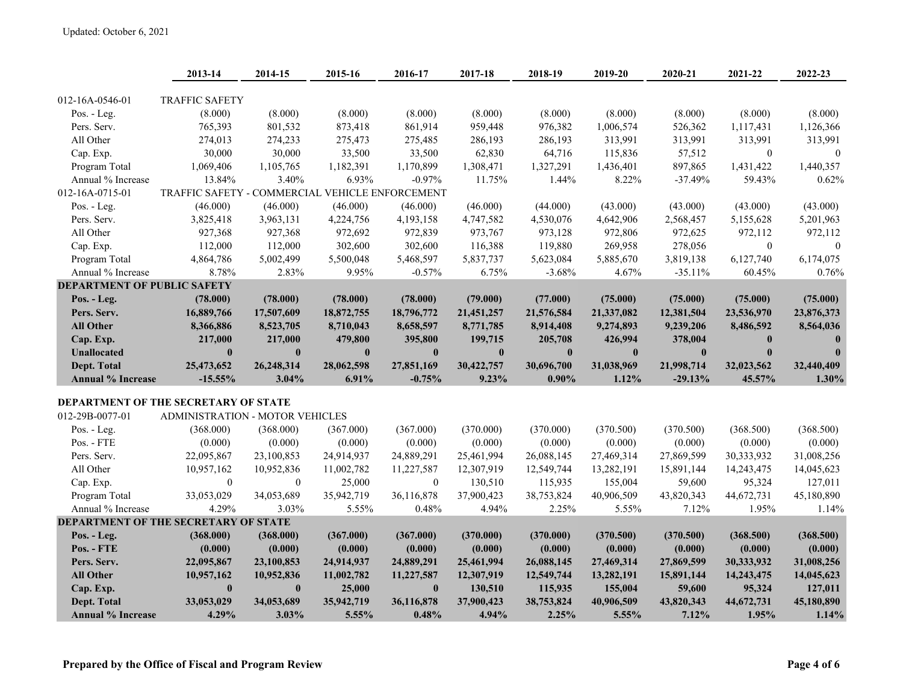|                                             | 2013-14                                         | 2014-15      | 2015-16      | 2016-17          | 2017-18    | 2018-19      | 2019-20      | 2020-21      | 2021-22      | 2022-23      |
|---------------------------------------------|-------------------------------------------------|--------------|--------------|------------------|------------|--------------|--------------|--------------|--------------|--------------|
|                                             |                                                 |              |              |                  |            |              |              |              |              |              |
| 012-16A-0546-01                             | <b>TRAFFIC SAFETY</b>                           |              |              |                  |            |              |              |              |              |              |
| Pos. - Leg.                                 | (8.000)                                         | (8.000)      | (8.000)      | (8.000)          | (8.000)    | (8.000)      | (8.000)      | (8.000)      | (8.000)      | (8.000)      |
| Pers. Serv.                                 | 765,393                                         | 801,532      | 873,418      | 861,914          | 959,448    | 976,382      | 1,006,574    | 526,362      | 1,117,431    | 1,126,366    |
| All Other                                   | 274,013                                         | 274,233      | 275,473      | 275,485          | 286,193    | 286,193      | 313,991      | 313,991      | 313,991      | 313,991      |
| Cap. Exp.                                   | 30,000                                          | 30,000       | 33,500       | 33,500           | 62,830     | 64,716       | 115,836      | 57,512       | $\mathbf{0}$ | $\theta$     |
| Program Total                               | 1,069,406                                       | 1,105,765    | 1,182,391    | 1,170,899        | 1,308,471  | 1,327,291    | 1,436,401    | 897,865      | 1,431,422    | 1,440,357    |
| Annual % Increase                           | 13.84%                                          | 3.40%        | 6.93%        | $-0.97%$         | 11.75%     | 1.44%        | 8.22%        | $-37.49%$    | 59.43%       | 0.62%        |
| 012-16A-0715-01                             | TRAFFIC SAFETY - COMMERCIAL VEHICLE ENFORCEMENT |              |              |                  |            |              |              |              |              |              |
| Pos. - Leg.                                 | (46.000)                                        | (46.000)     | (46.000)     | (46.000)         | (46.000)   | (44.000)     | (43.000)     | (43.000)     | (43.000)     | (43.000)     |
| Pers. Serv.                                 | 3,825,418                                       | 3,963,131    | 4,224,756    | 4,193,158        | 4,747,582  | 4,530,076    | 4,642,906    | 2,568,457    | 5,155,628    | 5,201,963    |
| All Other                                   | 927,368                                         | 927,368      | 972,692      | 972,839          | 973,767    | 973,128      | 972,806      | 972,625      | 972,112      | 972,112      |
| Cap. Exp.                                   | 112,000                                         | 112,000      | 302,600      | 302,600          | 116,388    | 119,880      | 269,958      | 278,056      | $\mathbf{0}$ | $\theta$     |
| Program Total                               | 4,864,786                                       | 5,002,499    | 5,500,048    | 5,468,597        | 5,837,737  | 5,623,084    | 5,885,670    | 3,819,138    | 6,127,740    | 6,174,075    |
| Annual % Increase                           | 8.78%                                           | 2.83%        | 9.95%        | $-0.57%$         | 6.75%      | $-3.68%$     | 4.67%        | $-35.11%$    | 60.45%       | 0.76%        |
| <b>DEPARTMENT OF PUBLIC SAFETY</b>          |                                                 |              |              |                  |            |              |              |              |              |              |
| Pos. - Leg.                                 | (78.000)                                        | (78.000)     | (78.000)     | (78.000)         | (79.000)   | (77.000)     | (75.000)     | (75.000)     | (75.000)     | (75.000)     |
| Pers. Serv.                                 | 16,889,766                                      | 17,507,609   | 18,872,755   | 18,796,772       | 21,451,257 | 21,576,584   | 21,337,082   | 12,381,504   | 23,536,970   | 23,876,373   |
| <b>All Other</b>                            | 8,366,886                                       | 8,523,705    | 8,710,043    | 8,658,597        | 8,771,785  | 8,914,408    | 9,274,893    | 9,239,206    | 8,486,592    | 8,564,036    |
| Cap. Exp.                                   | 217,000                                         | 217,000      | 479,800      | 395,800          | 199,715    | 205,708      | 426,994      | 378,004      | $\bf{0}$     | $\mathbf{0}$ |
| <b>Unallocated</b>                          | $\bf{0}$                                        | $\mathbf{0}$ | $\mathbf{0}$ | $\bf{0}$         | $\bf{0}$   | $\mathbf{0}$ | $\mathbf{0}$ | $\mathbf{0}$ | $\mathbf{0}$ | $\mathbf{0}$ |
| Dept. Total                                 | 25,473,652                                      | 26,248,314   | 28,062,598   | 27,851,169       | 30,422,757 | 30,696,700   | 31,038,969   | 21,998,714   | 32,023,562   | 32,440,409   |
| <b>Annual % Increase</b>                    | $-15.55%$                                       | 3.04%        | 6.91%        | $-0.75%$         | 9.23%      | $0.90\%$     | 1.12%        | $-29.13%$    | 45.57%       | 1.30%        |
|                                             |                                                 |              |              |                  |            |              |              |              |              |              |
| <b>DEPARTMENT OF THE SECRETARY OF STATE</b> |                                                 |              |              |                  |            |              |              |              |              |              |
| 012-29B-0077-01                             | ADMINISTRATION - MOTOR VEHICLES                 |              |              |                  |            |              |              |              |              |              |
| Pos. - Leg.                                 | (368.000)                                       | (368.000)    | (367.000)    | (367.000)        | (370.000)  | (370.000)    | (370.500)    | (370.500)    | (368.500)    | (368.500)    |
| Pos. - FTE                                  | (0.000)                                         | (0.000)      | (0.000)      | (0.000)          | (0.000)    | (0.000)      | (0.000)      | (0.000)      | (0.000)      | (0.000)      |
| Pers. Serv.                                 | 22,095,867                                      | 23,100,853   | 24,914,937   | 24,889,291       | 25,461,994 | 26,088,145   | 27,469,314   | 27,869,599   | 30,333,932   | 31,008,256   |
| All Other                                   | 10.957.162                                      | 10,952,836   | 11,002,782   | 11,227,587       | 12,307,919 | 12,549,744   | 13,282,191   | 15,891,144   | 14,243,475   | 14,045,623   |
| Cap. Exp.                                   | $\boldsymbol{0}$                                | $\mathbf{0}$ | 25,000       | $\boldsymbol{0}$ | 130,510    | 115,935      | 155,004      | 59,600       | 95,324       | 127,011      |
| Program Total                               | 33,053,029                                      | 34,053,689   | 35,942,719   | 36,116,878       | 37,900,423 | 38,753,824   | 40,906,509   | 43,820,343   | 44,672,731   | 45,180,890   |
| Annual % Increase                           | 4.29%                                           | 3.03%        | 5.55%        | 0.48%            | 4.94%      | 2.25%        | 5.55%        | 7.12%        | 1.95%        | 1.14%        |
| <b>DEPARTMENT OF THE SECRETARY OF STATE</b> |                                                 |              |              |                  |            |              |              |              |              |              |
| Pos. - Leg.                                 | (368.000)                                       | (368.000)    | (367.000)    | (367.000)        | (370.000)  | (370.000)    | (370.500)    | (370.500)    | (368.500)    | (368.500)    |
| Pos. - FTE                                  | (0.000)                                         | (0.000)      | (0.000)      | (0.000)          | (0.000)    | (0.000)      | (0.000)      | (0.000)      | (0.000)      | (0.000)      |
| Pers. Serv.                                 | 22,095,867                                      | 23,100,853   | 24,914,937   | 24,889,291       | 25,461,994 | 26,088,145   | 27,469,314   | 27,869,599   | 30,333,932   | 31,008,256   |
| <b>All Other</b>                            | 10,957,162                                      | 10,952,836   | 11,002,782   | 11,227,587       | 12,307,919 | 12,549,744   | 13,282,191   | 15,891,144   | 14,243,475   | 14,045,623   |
| Cap. Exp.                                   | $\bf{0}$                                        | $\bf{0}$     | 25,000       | $\mathbf{0}$     | 130,510    | 115,935      | 155,004      | 59,600       | 95,324       | 127,011      |
| Dept. Total                                 | 33,053,029                                      | 34,053,689   | 35,942,719   | 36,116,878       | 37,900,423 | 38,753,824   | 40,906,509   | 43,820,343   | 44,672,731   | 45,180,890   |
| <b>Annual % Increase</b>                    | 4.29%                                           | 3.03%        | 5.55%        | 0.48%            | 4.94%      | 2.25%        | 5.55%        | 7.12%        | 1.95%        | 1.14%        |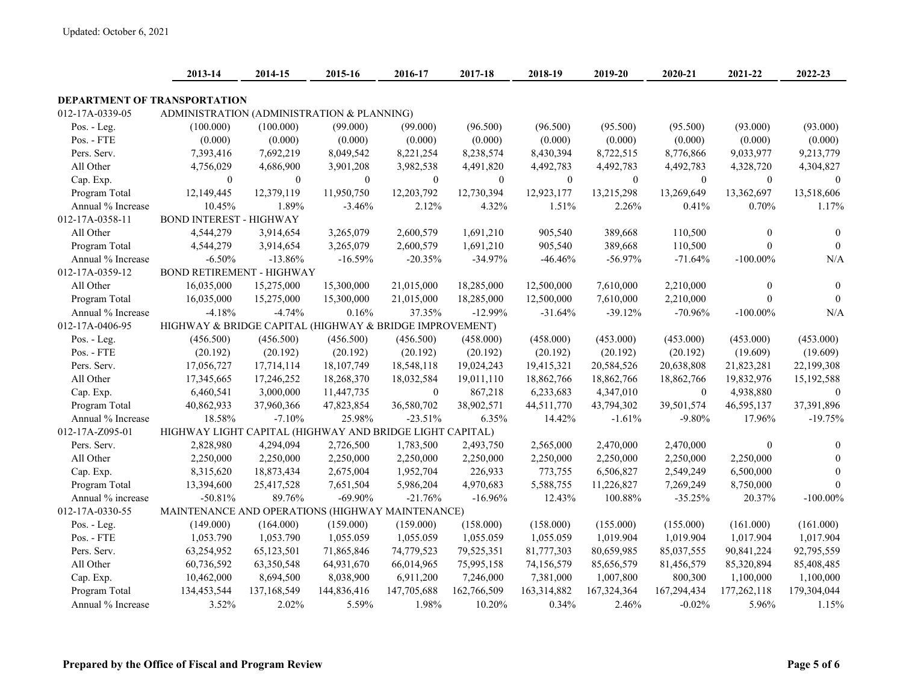|                                     | 2013-14                                                  | 2014-15      | 2015-16      | 2016-17      | 2017-18          | 2018-19          | 2019-20      | 2020-21      | 2021-22          | 2022-23          |
|-------------------------------------|----------------------------------------------------------|--------------|--------------|--------------|------------------|------------------|--------------|--------------|------------------|------------------|
| <b>DEPARTMENT OF TRANSPORTATION</b> |                                                          |              |              |              |                  |                  |              |              |                  |                  |
| 012-17A-0339-05                     | ADMINISTRATION (ADMINISTRATION & PLANNING)               |              |              |              |                  |                  |              |              |                  |                  |
| Pos. - Leg.                         | (100.000)                                                | (100.000)    | (99.000)     | (99.000)     | (96.500)         | (96.500)         | (95.500)     | (95.500)     | (93.000)         | (93.000)         |
| Pos. - FTE                          | (0.000)                                                  | (0.000)      | (0.000)      | (0.000)      | (0.000)          | (0.000)          | (0.000)      | (0.000)      | (0.000)          | (0.000)          |
| Pers. Serv.                         | 7,393,416                                                | 7,692,219    | 8,049,542    | 8,221,254    | 8,238,574        | 8,430,394        | 8,722,515    | 8,776,866    | 9,033,977        | 9,213,779        |
| All Other                           | 4,756,029                                                | 4,686,900    | 3,901,208    | 3,982,538    | 4,491,820        | 4,492,783        | 4,492,783    | 4,492,783    | 4,328,720        | 4,304,827        |
| Cap. Exp.                           | $\boldsymbol{0}$                                         | $\mathbf{0}$ | $\mathbf{0}$ | $\mathbf{0}$ | $\boldsymbol{0}$ | $\boldsymbol{0}$ | $\mathbf{0}$ | $\mathbf{0}$ | $\mathbf{0}$     | $\boldsymbol{0}$ |
| Program Total                       | 12,149,445                                               | 12,379,119   | 11,950,750   | 12,203,792   | 12,730,394       | 12,923,177       | 13,215,298   | 13,269,649   | 13,362,697       | 13,518,606       |
| Annual % Increase                   | 10.45%                                                   | 1.89%        | $-3.46%$     | 2.12%        | 4.32%            | 1.51%            | 2.26%        | 0.41%        | 0.70%            | 1.17%            |
| 012-17A-0358-11                     | <b>BOND INTEREST - HIGHWAY</b>                           |              |              |              |                  |                  |              |              |                  |                  |
| All Other                           | 4,544,279                                                | 3,914,654    | 3,265,079    | 2,600,579    | 1,691,210        | 905,540          | 389,668      | 110,500      | $\boldsymbol{0}$ | $\theta$         |
| Program Total                       | 4,544,279                                                | 3,914,654    | 3,265,079    | 2,600,579    | 1,691,210        | 905,540          | 389,668      | 110,500      | $\theta$         | $\theta$         |
| Annual % Increase                   | $-6.50%$                                                 | $-13.86%$    | $-16.59%$    | $-20.35%$    | $-34.97%$        | $-46.46%$        | $-56.97%$    | $-71.64%$    | $-100.00\%$      | N/A              |
| 012-17A-0359-12                     | <b>BOND RETIREMENT - HIGHWAY</b>                         |              |              |              |                  |                  |              |              |                  |                  |
| All Other                           | 16,035,000                                               | 15,275,000   | 15,300,000   | 21,015,000   | 18,285,000       | 12,500,000       | 7,610,000    | 2,210,000    | $\mathbf{0}$     | $\mathbf{0}$     |
| Program Total                       | 16,035,000                                               | 15,275,000   | 15,300,000   | 21,015,000   | 18,285,000       | 12,500,000       | 7,610,000    | 2,210,000    | $\Omega$         | $\theta$         |
| Annual % Increase                   | $-4.18%$                                                 | $-4.74%$     | 0.16%        | 37.35%       | $-12.99%$        | $-31.64%$        | $-39.12%$    | $-70.96%$    | $-100.00\%$      | N/A              |
| 012-17A-0406-95                     | HIGHWAY & BRIDGE CAPITAL (HIGHWAY & BRIDGE IMPROVEMENT)  |              |              |              |                  |                  |              |              |                  |                  |
| Pos. - Leg.                         | (456.500)                                                | (456.500)    | (456.500)    | (456.500)    | (458.000)        | (458.000)        | (453.000)    | (453.000)    | (453.000)        | (453.000)        |
| Pos. - FTE                          | (20.192)                                                 | (20.192)     | (20.192)     | (20.192)     | (20.192)         | (20.192)         | (20.192)     | (20.192)     | (19.609)         | (19.609)         |
| Pers. Serv.                         | 17,056,727                                               | 17,714,114   | 18,107,749   | 18,548,118   | 19,024,243       | 19,415,321       | 20,584,526   | 20,638,808   | 21,823,281       | 22,199,308       |
| All Other                           | 17,345,665                                               | 17,246,252   | 18,268,370   | 18,032,584   | 19,011,110       | 18,862,766       | 18,862,766   | 18,862,766   | 19,832,976       | 15,192,588       |
| Cap. Exp.                           | 6,460,541                                                | 3,000,000    | 11,447,735   | $\mathbf{0}$ | 867,218          | 6,233,683        | 4,347,010    | $\theta$     | 4,938,880        | $\theta$         |
| Program Total                       | 40,862,933                                               | 37,960,366   | 47,823,854   | 36,580,702   | 38,902,571       | 44,511,770       | 43,794,302   | 39,501,574   | 46,595,137       | 37,391,896       |
| Annual % Increase                   | 18.58%                                                   | $-7.10%$     | 25.98%       | $-23.51%$    | 6.35%            | 14.42%           | $-1.61%$     | $-9.80%$     | 17.96%           | $-19.75%$        |
| 012-17A-Z095-01                     | HIGHWAY LIGHT CAPITAL (HIGHWAY AND BRIDGE LIGHT CAPITAL) |              |              |              |                  |                  |              |              |                  |                  |
| Pers. Serv.                         | 2,828,980                                                | 4,294,094    | 2,726,500    | 1,783,500    | 2,493,750        | 2,565,000        | 2,470,000    | 2,470,000    | $\mathbf{0}$     | $\theta$         |
| All Other                           | 2,250,000                                                | 2,250,000    | 2,250,000    | 2,250,000    | 2,250,000        | 2,250,000        | 2,250,000    | 2,250,000    | 2,250,000        | $\theta$         |
| Cap. Exp.                           | 8,315,620                                                | 18,873,434   | 2,675,004    | 1,952,704    | 226,933          | 773,755          | 6,506,827    | 2,549,249    | 6,500,000        | $\mathbf{0}$     |
| Program Total                       | 13,394,600                                               | 25,417,528   | 7,651,504    | 5,986,204    | 4,970,683        | 5,588,755        | 11,226,827   | 7,269,249    | 8,750,000        | $\theta$         |
| Annual % increase                   | $-50.81%$                                                | 89.76%       | $-69.90%$    | $-21.76%$    | $-16.96%$        | 12.43%           | 100.88%      | $-35.25%$    | 20.37%           | $-100.00\%$      |
| 012-17A-0330-55                     | MAINTENANCE AND OPERATIONS (HIGHWAY MAINTENANCE)         |              |              |              |                  |                  |              |              |                  |                  |
| Pos. - Leg.                         | (149.000)                                                | (164.000)    | (159.000)    | (159.000)    | (158.000)        | (158.000)        | (155.000)    | (155.000)    | (161.000)        | (161.000)        |
| Pos. - FTE                          | 1,053.790                                                | 1,053.790    | 1,055.059    | 1,055.059    | 1,055.059        | 1,055.059        | 1,019.904    | 1,019.904    | 1,017.904        | 1,017.904        |
| Pers. Serv.                         | 63,254,952                                               | 65,123,501   | 71,865,846   | 74,779,523   | 79,525,351       | 81,777,303       | 80,659,985   | 85,037,555   | 90,841,224       | 92,795,559       |
| All Other                           | 60,736,592                                               | 63,350,548   | 64,931,670   | 66,014,965   | 75,995,158       | 74,156,579       | 85,656,579   | 81,456,579   | 85,320,894       | 85,408,485       |
| Cap. Exp.                           | 10,462,000                                               | 8,694,500    | 8,038,900    | 6,911,200    | 7,246,000        | 7,381,000        | 1,007,800    | 800,300      | 1,100,000        | 1,100,000        |
| Program Total                       | 134,453,544                                              | 137,168,549  | 144,836,416  | 147,705,688  | 162,766,509      | 163,314,882      | 167,324,364  | 167,294,434  | 177,262,118      | 179,304,044      |
| Annual % Increase                   | 3.52%                                                    | 2.02%        | 5.59%        | 1.98%        | 10.20%           | 0.34%            | 2.46%        | $-0.02%$     | 5.96%            | 1.15%            |